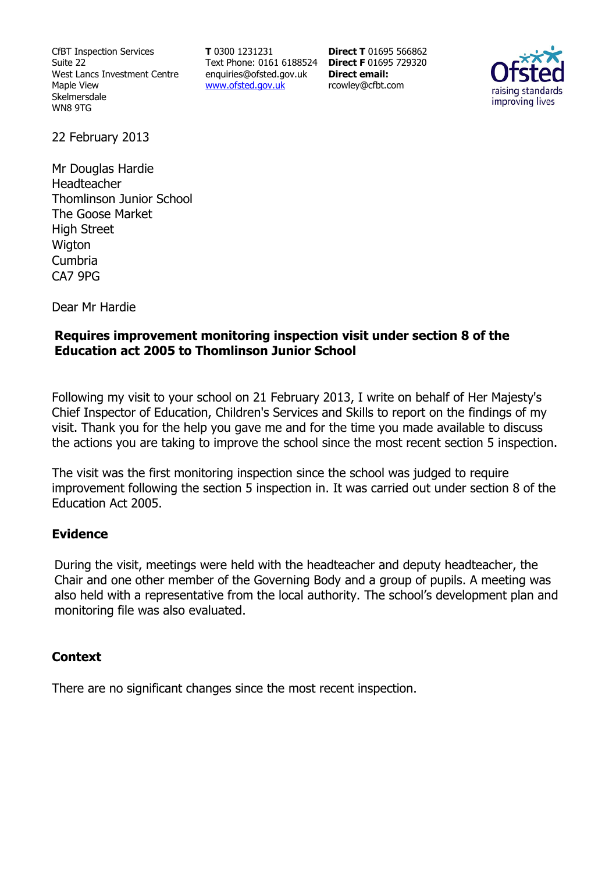CfBT Inspection Services Suite 22 West Lancs Investment Centre Maple View Skelmersdale WN8 9TG

**T** 0300 1231231 Text Phone: 0161 6188524 **Direct F** 01695 729320 enquiries@ofsted.gov.uk www.ofsted.gov.uk

**Direct T** 01695 566862 **Direct email:**  rcowley@cfbt.com



22 February 2013

Mr Douglas Hardie Headteacher Thomlinson Junior School The Goose Market High Street **Wigton** Cumbria CA7 9PG

Dear Mr Hardie

## **Requires improvement monitoring inspection visit under section 8 of the Education act 2005 to Thomlinson Junior School**

Following my visit to your school on 21 February 2013, I write on behalf of Her Majesty's Chief Inspector of Education, Children's Services and Skills to report on the findings of my visit. Thank you for the help you gave me and for the time you made available to discuss the actions you are taking to improve the school since the most recent section 5 inspection.

The visit was the first monitoring inspection since the school was judged to require improvement following the section 5 inspection in. It was carried out under section 8 of the Education Act 2005.

## **Evidence**

During the visit, meetings were held with the headteacher and deputy headteacher, the Chair and one other member of the Governing Body and a group of pupils. A meeting was also held with a representative from the local authority. The school's development plan and monitoring file was also evaluated.

### **Context**

There are no significant changes since the most recent inspection.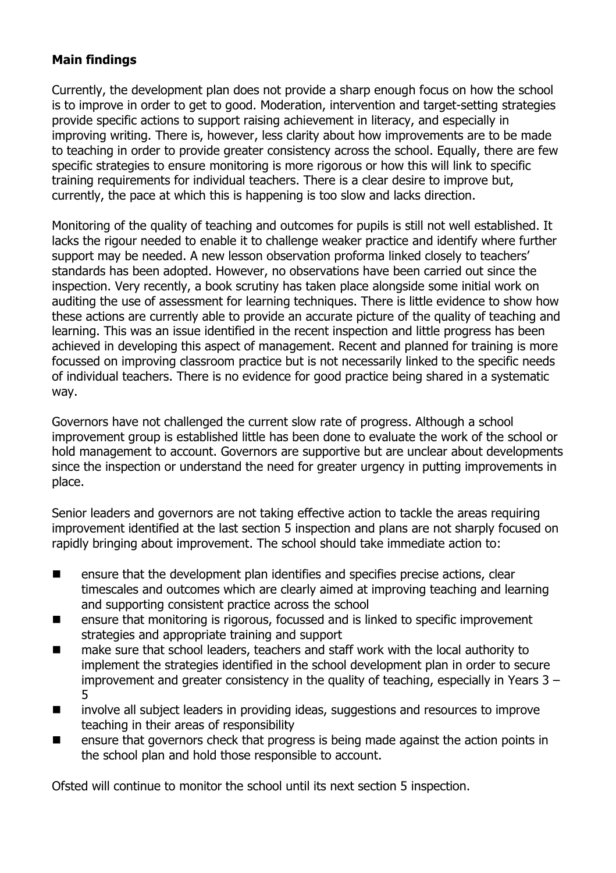# **Main findings**

Currently, the development plan does not provide a sharp enough focus on how the school is to improve in order to get to good. Moderation, intervention and target-setting strategies provide specific actions to support raising achievement in literacy, and especially in improving writing. There is, however, less clarity about how improvements are to be made to teaching in order to provide greater consistency across the school. Equally, there are few specific strategies to ensure monitoring is more rigorous or how this will link to specific training requirements for individual teachers. There is a clear desire to improve but, currently, the pace at which this is happening is too slow and lacks direction.

Monitoring of the quality of teaching and outcomes for pupils is still not well established. It lacks the rigour needed to enable it to challenge weaker practice and identify where further support may be needed. A new lesson observation proforma linked closely to teachers' standards has been adopted. However, no observations have been carried out since the inspection. Very recently, a book scrutiny has taken place alongside some initial work on auditing the use of assessment for learning techniques. There is little evidence to show how these actions are currently able to provide an accurate picture of the quality of teaching and learning. This was an issue identified in the recent inspection and little progress has been achieved in developing this aspect of management. Recent and planned for training is more focussed on improving classroom practice but is not necessarily linked to the specific needs of individual teachers. There is no evidence for good practice being shared in a systematic way.

Governors have not challenged the current slow rate of progress. Although a school improvement group is established little has been done to evaluate the work of the school or hold management to account. Governors are supportive but are unclear about developments since the inspection or understand the need for greater urgency in putting improvements in place.

Senior leaders and governors are not taking effective action to tackle the areas requiring improvement identified at the last section 5 inspection and plans are not sharply focused on rapidly bringing about improvement. The school should take immediate action to:

- $\blacksquare$  ensure that the development plan identifies and specifies precise actions, clear timescales and outcomes which are clearly aimed at improving teaching and learning and supporting consistent practice across the school
- ensure that monitoring is rigorous, focussed and is linked to specific improvement strategies and appropriate training and support
- make sure that school leaders, teachers and staff work with the local authority to implement the strategies identified in the school development plan in order to secure improvement and greater consistency in the quality of teaching, especially in Years 3 – 5
- involve all subject leaders in providing ideas, suggestions and resources to improve teaching in their areas of responsibility
- ensure that governors check that progress is being made against the action points in the school plan and hold those responsible to account.

Ofsted will continue to monitor the school until its next section 5 inspection.